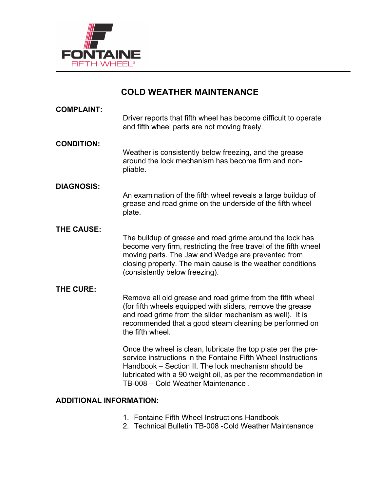

# **COLD WEATHER MAINTENANCE**

| <b>COMPLAINT:</b> | Driver reports that fifth wheel has become difficult to operate<br>and fifth wheel parts are not moving freely.                                                                                                                                                                              |
|-------------------|----------------------------------------------------------------------------------------------------------------------------------------------------------------------------------------------------------------------------------------------------------------------------------------------|
| <b>CONDITION:</b> | Weather is consistently below freezing, and the grease<br>around the lock mechanism has become firm and non-<br>pliable.                                                                                                                                                                     |
| <b>DIAGNOSIS:</b> | An examination of the fifth wheel reveals a large buildup of<br>grease and road grime on the underside of the fifth wheel<br>plate.                                                                                                                                                          |
| <b>THE CAUSE:</b> | The buildup of grease and road grime around the lock has<br>become very firm, restricting the free travel of the fifth wheel<br>moving parts. The Jaw and Wedge are prevented from<br>closing properly. The main cause is the weather conditions<br>(consistently below freezing).           |
| <b>THE CURE:</b>  | Remove all old grease and road grime from the fifth wheel<br>(for fifth wheels equipped with sliders, remove the grease<br>and road grime from the slider mechanism as well). It is<br>recommended that a good steam cleaning be performed on<br>the fifth wheel.                            |
|                   | Once the wheel is clean, lubricate the top plate per the pre-<br>service instructions in the Fontaine Fifth Wheel Instructions<br>Handbook – Section II. The lock mechanism should be<br>lubricated with a 90 weight oil, as per the recommendation in<br>TB-008 - Cold Weather Maintenance. |

# **ADDITIONAL INFORMATION:**

- 1. Fontaine Fifth Wheel Instructions Handbook
- 2. Technical Bulletin TB-008 -Cold Weather Maintenance